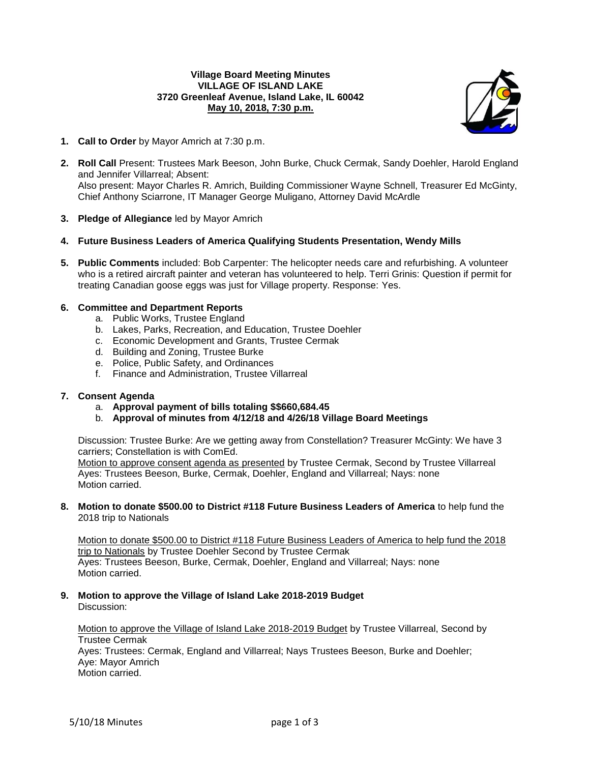### **Village Board Meeting Minutes VILLAGE OF ISLAND LAKE 3720 Greenleaf Avenue, Island Lake, IL 60042 May 10, 2018, 7:30 p.m.**



- **1. Call to Order** by Mayor Amrich at 7:30 p.m.
- **2. Roll Call** Present: Trustees Mark Beeson, John Burke, Chuck Cermak, Sandy Doehler, Harold England and Jennifer Villarreal; Absent: Also present: Mayor Charles R. Amrich, Building Commissioner Wayne Schnell, Treasurer Ed McGinty, Chief Anthony Sciarrone, IT Manager George Muligano, Attorney David McArdle
- **3. Pledge of Allegiance** led by Mayor Amrich
- **4. Future Business Leaders of America Qualifying Students Presentation, Wendy Mills**
- **5. Public Comments** included: Bob Carpenter: The helicopter needs care and refurbishing. A volunteer who is a retired aircraft painter and veteran has volunteered to help. Terri Grinis: Question if permit for treating Canadian goose eggs was just for Village property. Response: Yes.

## **6. Committee and Department Reports**

- a. Public Works, Trustee England
- b. Lakes, Parks, Recreation, and Education, Trustee Doehler
- c. Economic Development and Grants, Trustee Cermak
- d. Building and Zoning, Trustee Burke
- e. Police, Public Safety, and Ordinances
- f. Finance and Administration, Trustee Villarreal

#### **7. Consent Agenda**

- a. **Approval payment of bills totaling \$\$660,684.45**
- b. **Approval of minutes from 4/12/18 and 4/26/18 Village Board Meetings**

Discussion: Trustee Burke: Are we getting away from Constellation? Treasurer McGinty: We have 3 carriers; Constellation is with ComEd.

Motion to approve consent agenda as presented by Trustee Cermak, Second by Trustee Villarreal Ayes: Trustees Beeson, Burke, Cermak, Doehler, England and Villarreal; Nays: none Motion carried.

#### **8. Motion to donate \$500.00 to District #118 Future Business Leaders of America** to help fund the 2018 trip to Nationals

Motion to donate \$500.00 to District #118 Future Business Leaders of America to help fund the 2018 trip to Nationals by Trustee Doehler Second by Trustee Cermak Ayes: Trustees Beeson, Burke, Cermak, Doehler, England and Villarreal; Nays: none Motion carried.

**9. Motion to approve the Village of Island Lake 2018-2019 Budget** Discussion:

Motion to approve the Village of Island Lake 2018-2019 Budget by Trustee Villarreal, Second by Trustee Cermak Ayes: Trustees: Cermak, England and Villarreal; Nays Trustees Beeson, Burke and Doehler; Aye: Mayor Amrich

Motion carried.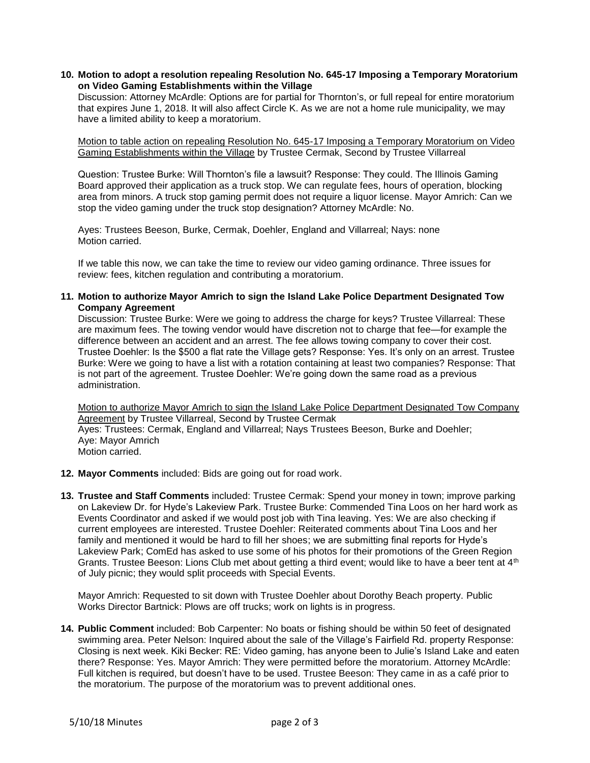**10. Motion to adopt a resolution repealing Resolution No. 645-17 Imposing a Temporary Moratorium on Video Gaming Establishments within the Village**

Discussion: Attorney McArdle: Options are for partial for Thornton's, or full repeal for entire moratorium that expires June 1, 2018. It will also affect Circle K. As we are not a home rule municipality, we may have a limited ability to keep a moratorium.

Motion to table action on repealing Resolution No. 645-17 Imposing a Temporary Moratorium on Video Gaming Establishments within the Village by Trustee Cermak, Second by Trustee Villarreal

Question: Trustee Burke: Will Thornton's file a lawsuit? Response: They could. The Illinois Gaming Board approved their application as a truck stop. We can regulate fees, hours of operation, blocking area from minors. A truck stop gaming permit does not require a liquor license. Mayor Amrich: Can we stop the video gaming under the truck stop designation? Attorney McArdle: No.

Ayes: Trustees Beeson, Burke, Cermak, Doehler, England and Villarreal; Nays: none Motion carried.

If we table this now, we can take the time to review our video gaming ordinance. Three issues for review: fees, kitchen regulation and contributing a moratorium.

**11. Motion to authorize Mayor Amrich to sign the Island Lake Police Department Designated Tow Company Agreement**

Discussion: Trustee Burke: Were we going to address the charge for keys? Trustee Villarreal: These are maximum fees. The towing vendor would have discretion not to charge that fee—for example the difference between an accident and an arrest. The fee allows towing company to cover their cost. Trustee Doehler: Is the \$500 a flat rate the Village gets? Response: Yes. It's only on an arrest. Trustee Burke: Were we going to have a list with a rotation containing at least two companies? Response: That is not part of the agreement. Trustee Doehler: We're going down the same road as a previous administration.

Motion to authorize Mayor Amrich to sign the Island Lake Police Department Designated Tow Company Agreement by Trustee Villarreal, Second by Trustee Cermak Ayes: Trustees: Cermak, England and Villarreal; Nays Trustees Beeson, Burke and Doehler; Aye: Mayor Amrich Motion carried.

- **12. Mayor Comments** included: Bids are going out for road work.
- **13. Trustee and Staff Comments** included: Trustee Cermak: Spend your money in town; improve parking on Lakeview Dr. for Hyde's Lakeview Park. Trustee Burke: Commended Tina Loos on her hard work as Events Coordinator and asked if we would post job with Tina leaving. Yes: We are also checking if current employees are interested. Trustee Doehler: Reiterated comments about Tina Loos and her family and mentioned it would be hard to fill her shoes; we are submitting final reports for Hyde's Lakeview Park; ComEd has asked to use some of his photos for their promotions of the Green Region Grants. Trustee Beeson: Lions Club met about getting a third event; would like to have a beer tent at 4<sup>th</sup> of July picnic; they would split proceeds with Special Events.

Mayor Amrich: Requested to sit down with Trustee Doehler about Dorothy Beach property. Public Works Director Bartnick: Plows are off trucks; work on lights is in progress.

**14. Public Comment** included: Bob Carpenter: No boats or fishing should be within 50 feet of designated swimming area. Peter Nelson: Inquired about the sale of the Village's Fairfield Rd. property Response: Closing is next week. Kiki Becker: RE: Video gaming, has anyone been to Julie's Island Lake and eaten there? Response: Yes. Mayor Amrich: They were permitted before the moratorium. Attorney McArdle: Full kitchen is required, but doesn't have to be used. Trustee Beeson: They came in as a café prior to the moratorium. The purpose of the moratorium was to prevent additional ones.